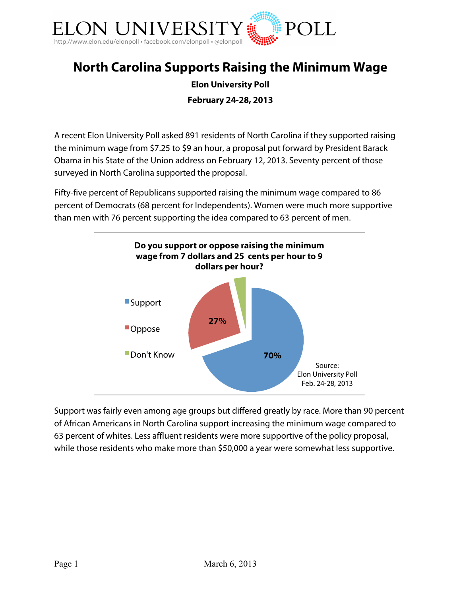

# **North Carolina Supports Raising the Minimum Wage**

**Elon University Poll February 24-28, 2013**

A recent Elon University Poll asked 891 residents of North Carolina if they supported raising the minimum wage from \$7.25 to \$9 an hour, a proposal put forward by President Barack Obama in his State of the Union address on February 12, 2013. Seventy percent of those surveyed in North Carolina supported the proposal.

Fifty-five percent of Republicans supported raising the minimum wage compared to 86 percent of Democrats (68 percent for Independents). Women were much more supportive than men with 76 percent supporting the idea compared to 63 percent of men.



Support was fairly even among age groups but differed greatly by race. More than 90 percent of African Americans in North Carolina support increasing the minimum wage compared to 63 percent of whites. Less affluent residents were more supportive of the policy proposal, while those residents who make more than \$50,000 a year were somewhat less supportive.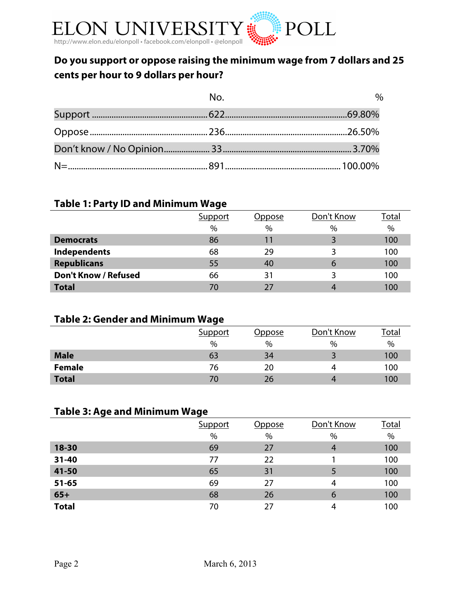

# **Do you support or oppose raising the minimum wage from 7 dollars and 25 cents per hour to 9 dollars per hour?**

| No. | $\frac{0}{0}$ |
|-----|---------------|
|     |               |
|     |               |
|     |               |
|     |               |

### **Table 1: Party ID and Minimum Wage**

|                             | Support | Dppose | Don't Know | <b>Total</b> |
|-----------------------------|---------|--------|------------|--------------|
|                             | $\%$    | $\%$   | $\%$       | $\%$         |
| <b>Democrats</b>            | 86      |        | 3          | 100          |
| Independents                | 68      | 29     | 3          | 100          |
| <b>Republicans</b>          | 55      | 40     | 6          | 100          |
| <b>Don't Know / Refused</b> | 66      | 31     | 3          | 100          |
| <b>Total</b>                | 70      |        |            | 100          |

### **Table 2: Gender and Minimum Wage**

|               | Support | Oppose | Don't Know | <b>Total</b> |
|---------------|---------|--------|------------|--------------|
|               | %       | $\%$   | $\%$       | $\%$         |
| <b>Male</b>   | 63      | 34     |            | 100          |
| <b>Female</b> | 76      | 20     |            | 100          |
| <b>Total</b>  | 70      | 26     |            | 100          |

# **Table 3: Age and Minimum Wage**

|              | Support | Oppose | Don't Know | <u>Total</u> |
|--------------|---------|--------|------------|--------------|
|              | $\%$    | $\%$   | $\%$       | $\%$         |
| $18 - 30$    | 69      | 27     | 4          | 100          |
| $31 - 40$    | 77      | 22     |            | 100          |
| 41-50        | 65      | 31     | 5          | 100          |
| $51 - 65$    | 69      | 27     | 4          | 100          |
| $65+$        | 68      | 26     | 6          | 100          |
| <b>Total</b> | 70      | 27     | 4          | 100          |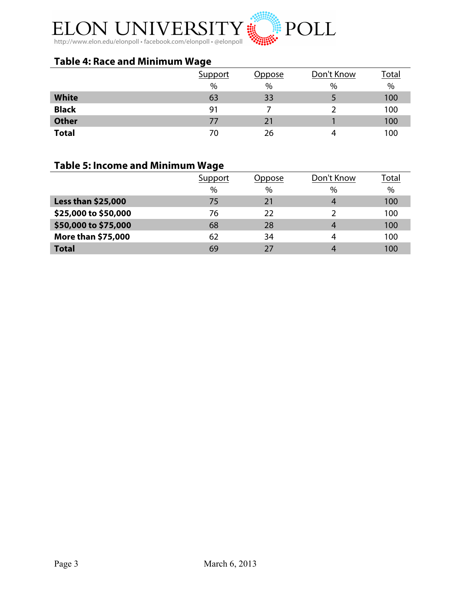

# **Table 4: Race and Minimum Wage**

|              | Support        | Oppose | Don't Know | <b>Total</b> |
|--------------|----------------|--------|------------|--------------|
|              | $\%$           | $\%$   | $\%$       | $\%$         |
| <b>White</b> | 63             | 33     | כ          | 100          |
| <b>Black</b> | 91             |        |            | 100          |
| <b>Other</b> | $\prime\prime$ | 21     |            | 100          |
| <b>Total</b> | 70             | 26     | 4          | 100          |

# **Table 5: Income and Minimum Wage**

|                           | -             |                |            |       |
|---------------------------|---------------|----------------|------------|-------|
|                           | Support       | )ppose         | Don't Know | Total |
|                           | $\frac{0}{0}$ | $\%$           | $\%$       | $\%$  |
| <b>Less than \$25,000</b> | 75            | 2 <sub>1</sub> | 4          | 100   |
| \$25,000 to \$50,000      | 76            | 22             |            | 100   |
| \$50,000 to \$75,000      | 68            | 28             | 4          | 100   |
| More than \$75,000        | 62            | 34             |            | 100   |
| <b>Total</b>              | 69            | つフ             | Δ          | 100   |
|                           |               |                |            |       |